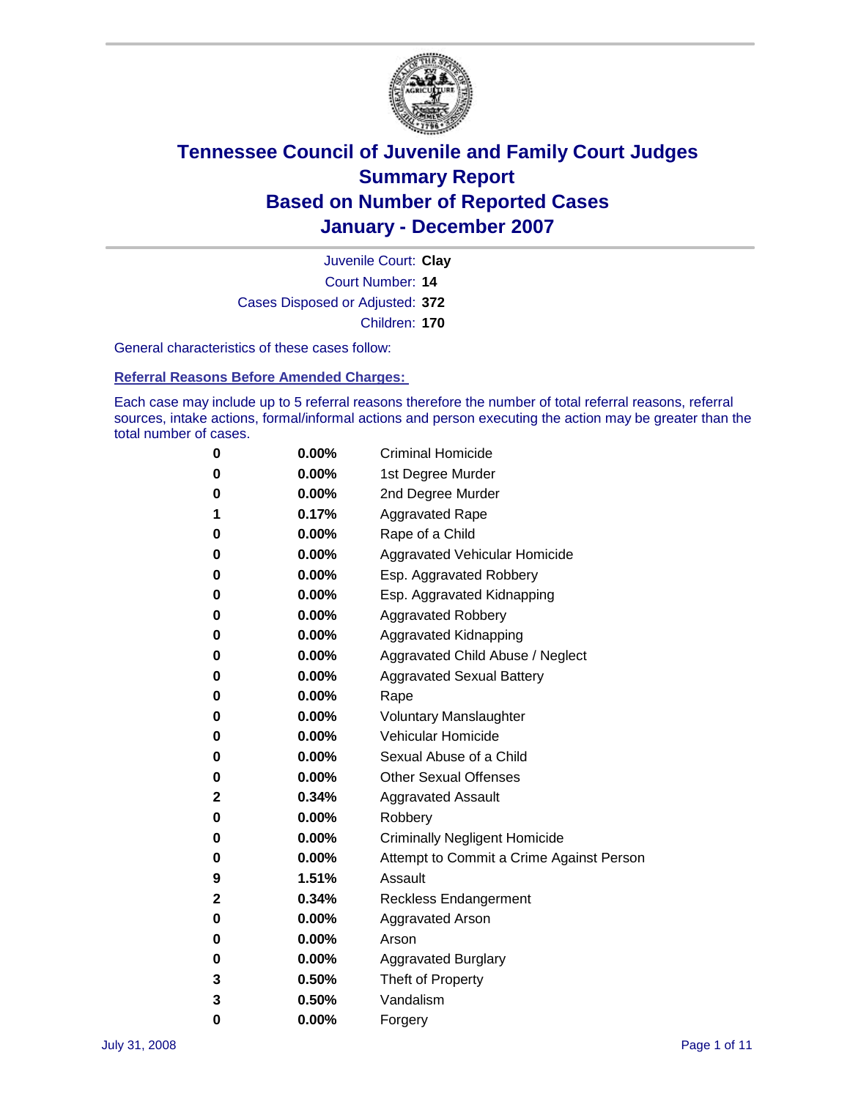

Court Number: **14** Juvenile Court: **Clay** Cases Disposed or Adjusted: **372** Children: **170**

General characteristics of these cases follow:

**Referral Reasons Before Amended Charges:** 

Each case may include up to 5 referral reasons therefore the number of total referral reasons, referral sources, intake actions, formal/informal actions and person executing the action may be greater than the total number of cases.

| 0 | $0.00\%$ | <b>Criminal Homicide</b>                 |
|---|----------|------------------------------------------|
| 0 | 0.00%    | 1st Degree Murder                        |
| 0 | $0.00\%$ | 2nd Degree Murder                        |
| 1 | 0.17%    | <b>Aggravated Rape</b>                   |
| 0 | $0.00\%$ | Rape of a Child                          |
| 0 | $0.00\%$ | Aggravated Vehicular Homicide            |
| 0 | 0.00%    | Esp. Aggravated Robbery                  |
| 0 | $0.00\%$ | Esp. Aggravated Kidnapping               |
| 0 | $0.00\%$ | <b>Aggravated Robbery</b>                |
| 0 | $0.00\%$ | Aggravated Kidnapping                    |
| 0 | $0.00\%$ | Aggravated Child Abuse / Neglect         |
| 0 | $0.00\%$ | <b>Aggravated Sexual Battery</b>         |
| 0 | 0.00%    | Rape                                     |
| 0 | $0.00\%$ | <b>Voluntary Manslaughter</b>            |
| 0 | $0.00\%$ | Vehicular Homicide                       |
| 0 | 0.00%    | Sexual Abuse of a Child                  |
| 0 | $0.00\%$ | <b>Other Sexual Offenses</b>             |
| 2 | 0.34%    | <b>Aggravated Assault</b>                |
| 0 | $0.00\%$ | Robbery                                  |
| 0 | $0.00\%$ | <b>Criminally Negligent Homicide</b>     |
| 0 | $0.00\%$ | Attempt to Commit a Crime Against Person |
| 9 | 1.51%    | Assault                                  |
| 2 | 0.34%    | Reckless Endangerment                    |
| 0 | $0.00\%$ | <b>Aggravated Arson</b>                  |
| 0 | $0.00\%$ | Arson                                    |
| 0 | $0.00\%$ | <b>Aggravated Burglary</b>               |
| 3 | 0.50%    | Theft of Property                        |
| 3 | 0.50%    | Vandalism                                |
| 0 | 0.00%    | Forgery                                  |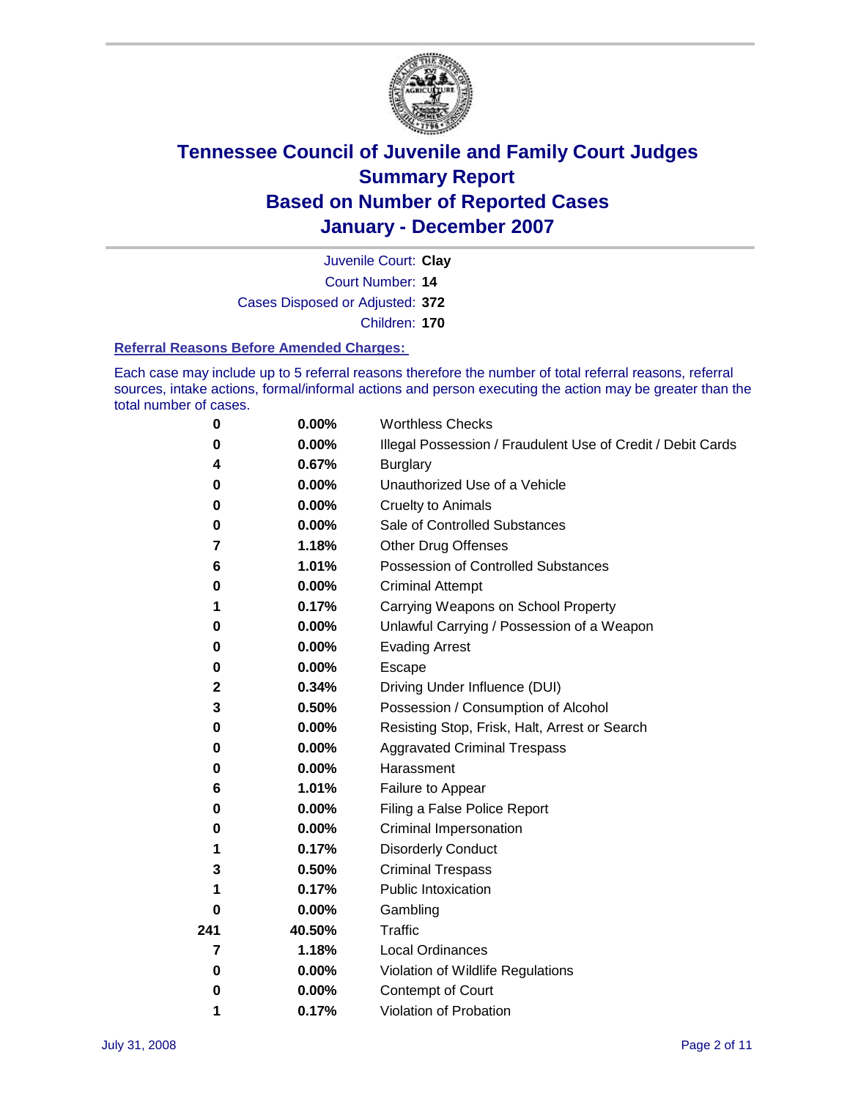

Court Number: **14** Juvenile Court: **Clay** Cases Disposed or Adjusted: **372** Children: **170**

#### **Referral Reasons Before Amended Charges:**

Each case may include up to 5 referral reasons therefore the number of total referral reasons, referral sources, intake actions, formal/informal actions and person executing the action may be greater than the total number of cases.

| 0           | 0.00%    | <b>Worthless Checks</b>                                     |
|-------------|----------|-------------------------------------------------------------|
| 0           | 0.00%    | Illegal Possession / Fraudulent Use of Credit / Debit Cards |
| 4           | 0.67%    | <b>Burglary</b>                                             |
| 0           | 0.00%    | Unauthorized Use of a Vehicle                               |
| $\bf{0}$    | 0.00%    | <b>Cruelty to Animals</b>                                   |
| 0           | 0.00%    | Sale of Controlled Substances                               |
| 7           | 1.18%    | <b>Other Drug Offenses</b>                                  |
| 6           | 1.01%    | <b>Possession of Controlled Substances</b>                  |
| 0           | 0.00%    | <b>Criminal Attempt</b>                                     |
| 1           | 0.17%    | Carrying Weapons on School Property                         |
| 0           | 0.00%    | Unlawful Carrying / Possession of a Weapon                  |
| 0           | 0.00%    | <b>Evading Arrest</b>                                       |
| 0           | 0.00%    | Escape                                                      |
| $\mathbf 2$ | 0.34%    | Driving Under Influence (DUI)                               |
| 3           | 0.50%    | Possession / Consumption of Alcohol                         |
| 0           | 0.00%    | Resisting Stop, Frisk, Halt, Arrest or Search               |
| 0           | 0.00%    | <b>Aggravated Criminal Trespass</b>                         |
| 0           | 0.00%    | Harassment                                                  |
| 6           | 1.01%    | Failure to Appear                                           |
| 0           | 0.00%    | Filing a False Police Report                                |
| 0           | 0.00%    | Criminal Impersonation                                      |
| 1           | 0.17%    | <b>Disorderly Conduct</b>                                   |
| 3           | 0.50%    | <b>Criminal Trespass</b>                                    |
| 1           | 0.17%    | <b>Public Intoxication</b>                                  |
| 0           | 0.00%    | Gambling                                                    |
| 241         | 40.50%   | Traffic                                                     |
| 7           | 1.18%    | <b>Local Ordinances</b>                                     |
| 0           | $0.00\%$ | Violation of Wildlife Regulations                           |
| 0           | 0.00%    | Contempt of Court                                           |
| 1           | 0.17%    | Violation of Probation                                      |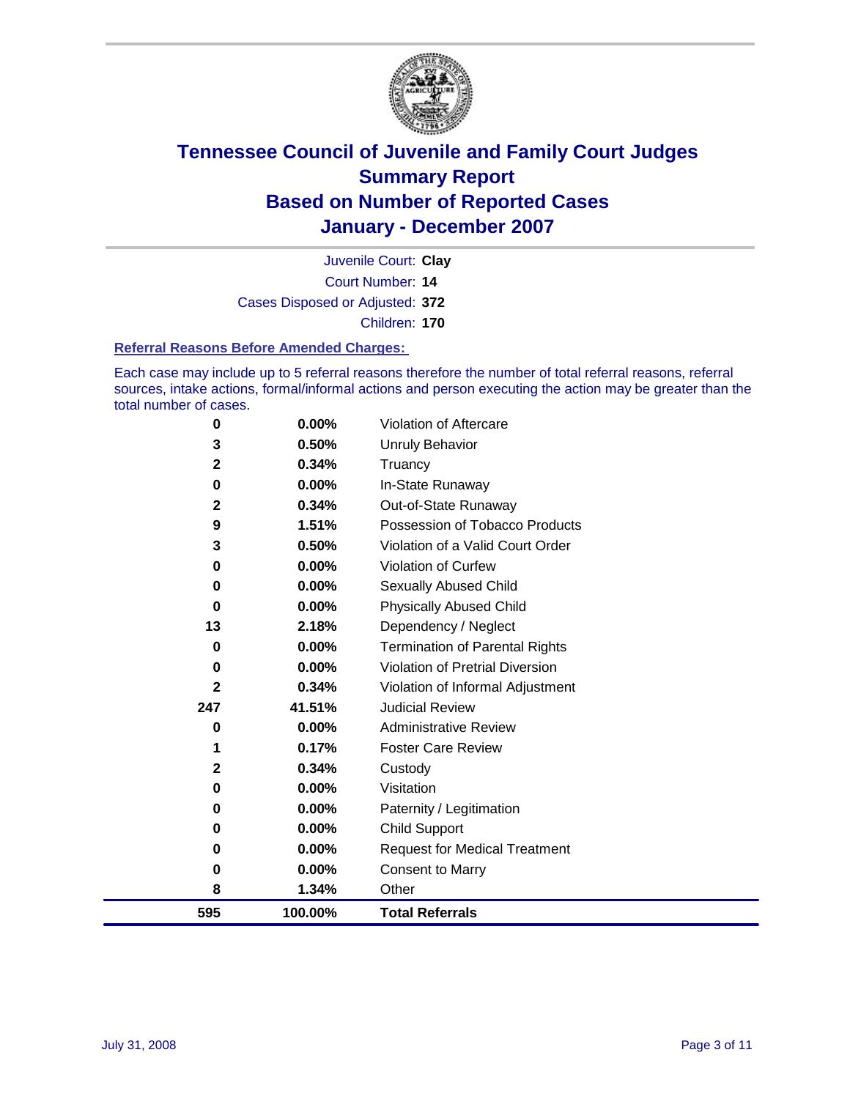

Court Number: **14** Juvenile Court: **Clay** Cases Disposed or Adjusted: **372** Children: **170**

#### **Referral Reasons Before Amended Charges:**

Each case may include up to 5 referral reasons therefore the number of total referral reasons, referral sources, intake actions, formal/informal actions and person executing the action may be greater than the total number of cases.

| 0            | 0.00%    | Violation of Aftercare                 |
|--------------|----------|----------------------------------------|
| 3            | 0.50%    | <b>Unruly Behavior</b>                 |
| $\mathbf{2}$ | 0.34%    | Truancy                                |
| $\mathbf 0$  | 0.00%    | In-State Runaway                       |
| $\mathbf{2}$ | 0.34%    | Out-of-State Runaway                   |
| 9            | 1.51%    | Possession of Tobacco Products         |
| 3            | 0.50%    | Violation of a Valid Court Order       |
| 0            | 0.00%    | Violation of Curfew                    |
| $\bf{0}$     | 0.00%    | Sexually Abused Child                  |
| 0            | 0.00%    | <b>Physically Abused Child</b>         |
| 13           | 2.18%    | Dependency / Neglect                   |
| 0            | 0.00%    | <b>Termination of Parental Rights</b>  |
| $\bf{0}$     | 0.00%    | <b>Violation of Pretrial Diversion</b> |
| 2            | 0.34%    | Violation of Informal Adjustment       |
| 247          | 41.51%   | <b>Judicial Review</b>                 |
| $\bf{0}$     | 0.00%    | <b>Administrative Review</b>           |
| 1            | 0.17%    | <b>Foster Care Review</b>              |
| 2            | 0.34%    | Custody                                |
| $\bf{0}$     | 0.00%    | Visitation                             |
| 0            | $0.00\%$ | Paternity / Legitimation               |
| 0            | 0.00%    | <b>Child Support</b>                   |
| 0            | 0.00%    | <b>Request for Medical Treatment</b>   |
| $\bf{0}$     | 0.00%    | <b>Consent to Marry</b>                |
| 8            | 1.34%    | Other                                  |
| 595          | 100.00%  | <b>Total Referrals</b>                 |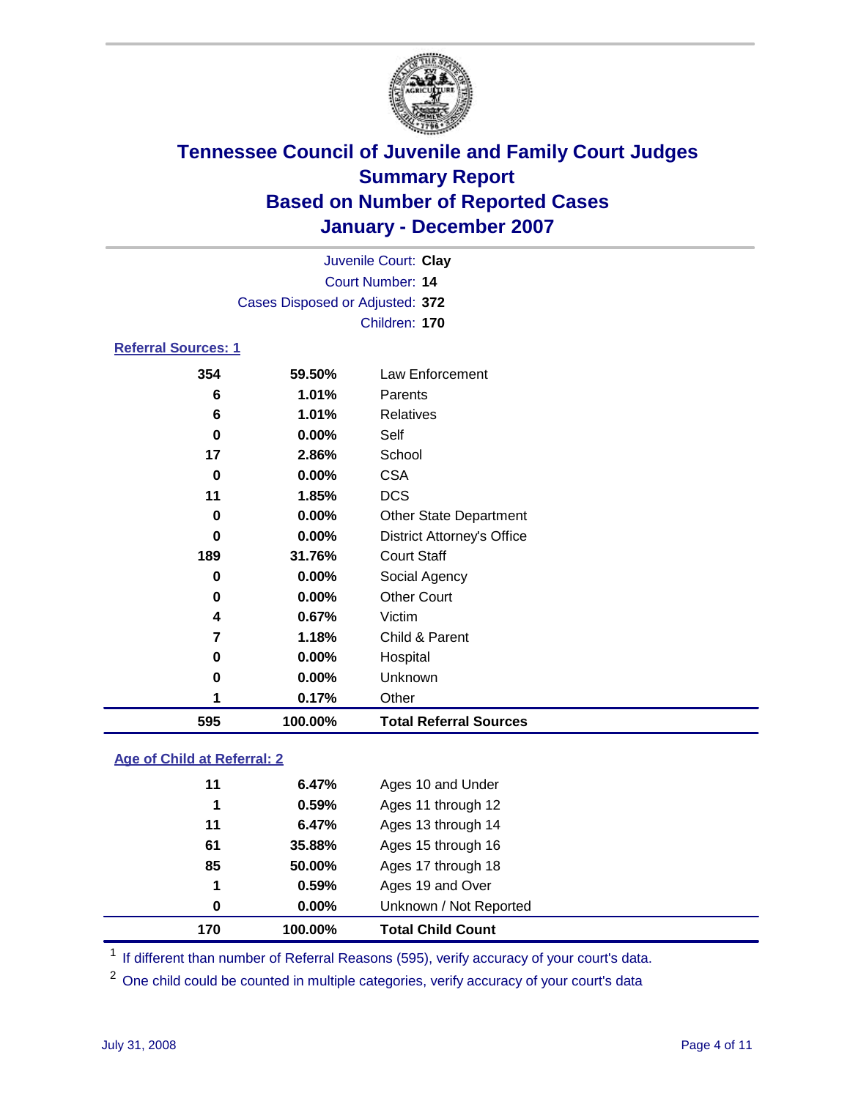

|                            |                                 | Juvenile Court: Clay |  |
|----------------------------|---------------------------------|----------------------|--|
|                            |                                 | Court Number: 14     |  |
|                            | Cases Disposed or Adjusted: 372 |                      |  |
|                            |                                 | Children: 170        |  |
| <b>Referral Sources: 1</b> |                                 |                      |  |
| 354                        | 59.50%                          | Law Enforcement      |  |
| 6                          | 1.01%                           | Parents              |  |
| $\ddot{\phantom{0}}$       | $\overline{ }$ $\overline{ }$   | <b>DOM: 1999</b>     |  |

| 595      | 100.00%  | <b>Total Referral Sources</b>     |
|----------|----------|-----------------------------------|
|          | 0.17%    | Other                             |
| 0        | 0.00%    | Unknown                           |
| 0        | 0.00%    | Hospital                          |
| 7        | 1.18%    | Child & Parent                    |
| 4        | 0.67%    | Victim                            |
| 0        | 0.00%    | <b>Other Court</b>                |
| 0        | 0.00%    | Social Agency                     |
| 189      | 31.76%   | <b>Court Staff</b>                |
| 0        | 0.00%    | <b>District Attorney's Office</b> |
| 0        | 0.00%    | <b>Other State Department</b>     |
| 11       | 1.85%    | <b>DCS</b>                        |
| $\bf{0}$ | 0.00%    | <b>CSA</b>                        |
| 17       | 2.86%    | School                            |
| 0        | $0.00\%$ | Self                              |
| 6        | 1.01%    | <b>Relatives</b>                  |
|          |          |                                   |

### **Age of Child at Referral: 2**

| 170 | 100.00%    | <b>Total Child Count</b> |
|-----|------------|--------------------------|
|     | 0.00%<br>0 | Unknown / Not Reported   |
|     | 1<br>0.59% | Ages 19 and Over         |
| 85  | 50.00%     | Ages 17 through 18       |
| 61  | 35.88%     | Ages 15 through 16       |
| 11  | 6.47%      | Ages 13 through 14       |
|     | 0.59%<br>1 | Ages 11 through 12       |
| 11  | 6.47%      | Ages 10 and Under        |
|     |            |                          |

<sup>1</sup> If different than number of Referral Reasons (595), verify accuracy of your court's data.

One child could be counted in multiple categories, verify accuracy of your court's data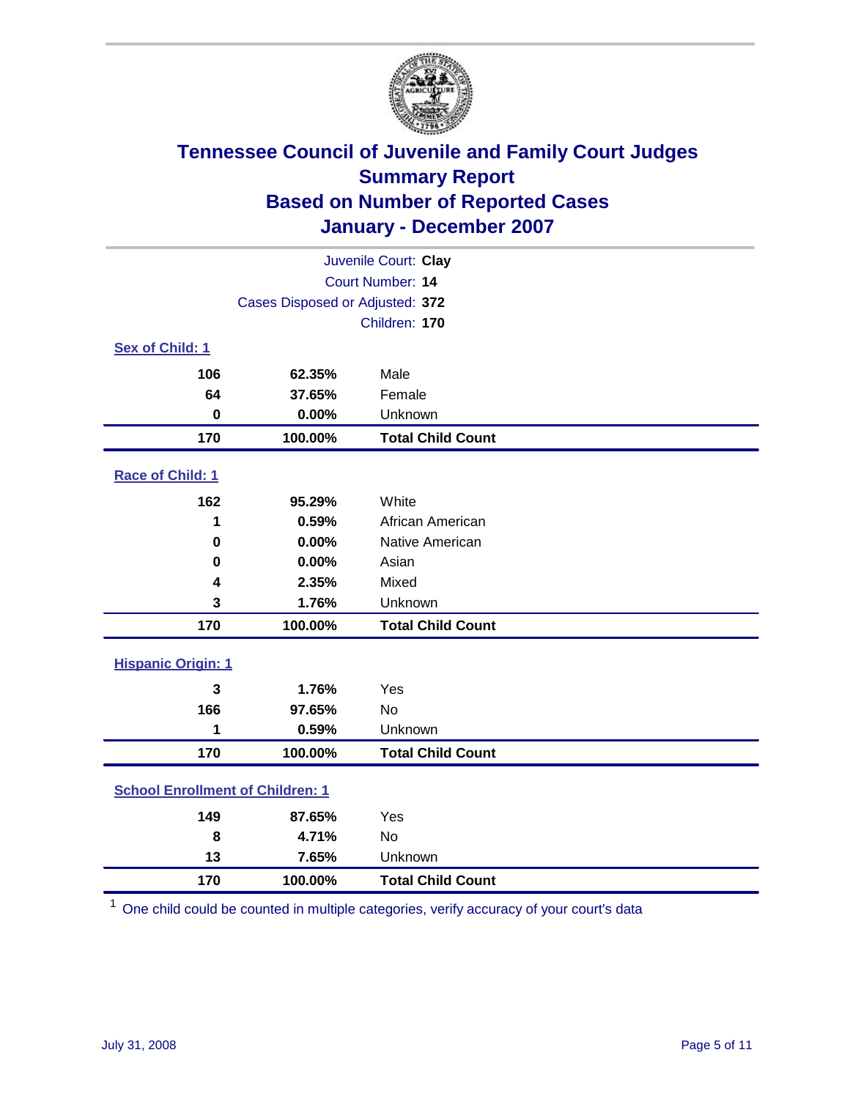

| Juvenile Court: Clay                    |                                 |                          |  |  |  |
|-----------------------------------------|---------------------------------|--------------------------|--|--|--|
|                                         | Court Number: 14                |                          |  |  |  |
|                                         | Cases Disposed or Adjusted: 372 |                          |  |  |  |
|                                         |                                 | Children: 170            |  |  |  |
| Sex of Child: 1                         |                                 |                          |  |  |  |
| 106                                     | 62.35%                          | Male                     |  |  |  |
| 64                                      | 37.65%                          | Female                   |  |  |  |
| $\bf{0}$                                | 0.00%                           | Unknown                  |  |  |  |
| 170                                     | 100.00%                         | <b>Total Child Count</b> |  |  |  |
| Race of Child: 1                        |                                 |                          |  |  |  |
| 162                                     | 95.29%                          | White                    |  |  |  |
| 1                                       | 0.59%                           | African American         |  |  |  |
| 0                                       | 0.00%                           | Native American          |  |  |  |
| 0                                       | 0.00%                           | Asian                    |  |  |  |
| 4                                       | 2.35%                           | Mixed                    |  |  |  |
| 3                                       | 1.76%                           | Unknown                  |  |  |  |
| 170                                     | 100.00%                         | <b>Total Child Count</b> |  |  |  |
| <b>Hispanic Origin: 1</b>               |                                 |                          |  |  |  |
| 3                                       | 1.76%                           | Yes                      |  |  |  |
| 166                                     | 97.65%                          | <b>No</b>                |  |  |  |
| 1                                       | 0.59%                           | Unknown                  |  |  |  |
| 170                                     | 100.00%                         | <b>Total Child Count</b> |  |  |  |
| <b>School Enrollment of Children: 1</b> |                                 |                          |  |  |  |
| 149                                     | 87.65%                          | Yes                      |  |  |  |
| 8                                       | 4.71%                           | No                       |  |  |  |
| 13                                      | 7.65%                           | Unknown                  |  |  |  |
| 170                                     | 100.00%                         | <b>Total Child Count</b> |  |  |  |

One child could be counted in multiple categories, verify accuracy of your court's data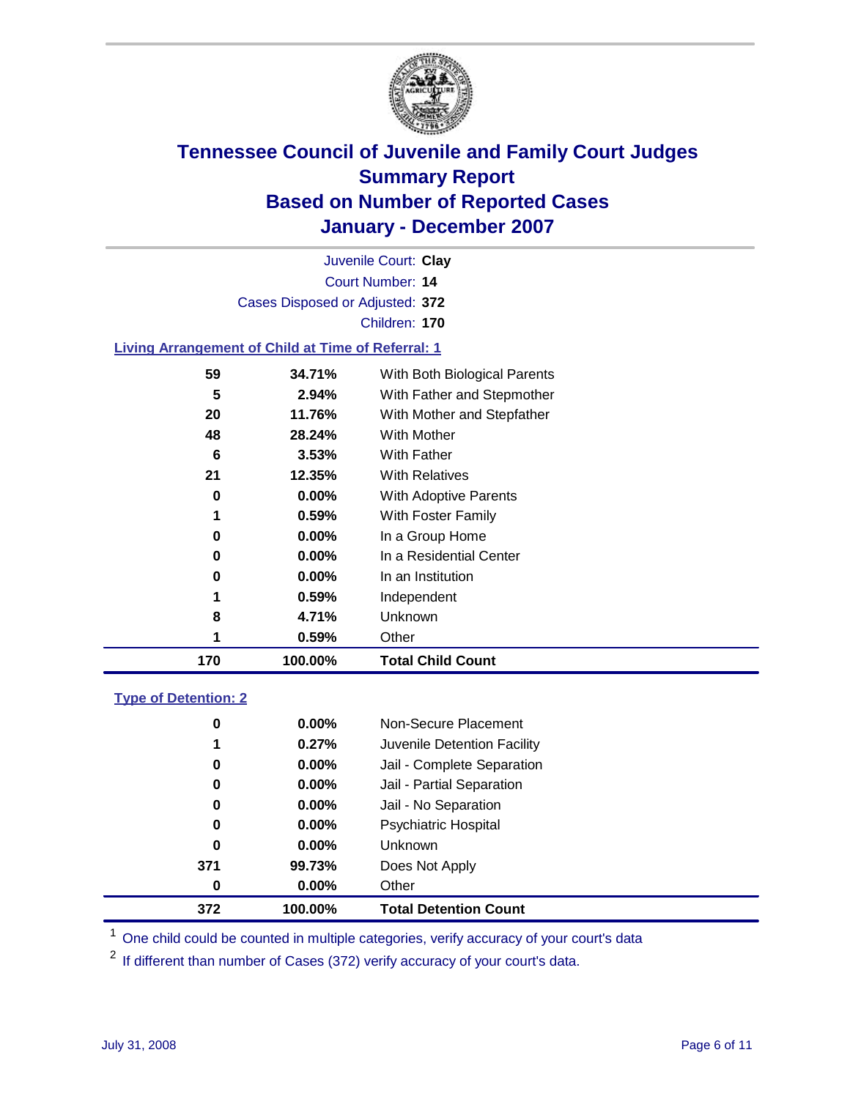

|                                                           |                                 | Juvenile Court: Clay         |  |
|-----------------------------------------------------------|---------------------------------|------------------------------|--|
|                                                           |                                 | <b>Court Number: 14</b>      |  |
|                                                           | Cases Disposed or Adjusted: 372 |                              |  |
|                                                           |                                 | Children: 170                |  |
| <b>Living Arrangement of Child at Time of Referral: 1</b> |                                 |                              |  |
| 59                                                        | 34.71%                          | With Both Biological Parents |  |
| 5                                                         | 2.94%                           | With Father and Stepmother   |  |
| 20                                                        | 11.76%                          | With Mother and Stepfather   |  |

| 170 | 100.00%  | <b>Total Child Count</b>   |
|-----|----------|----------------------------|
| 1   | 0.59%    | Other                      |
| 8   | 4.71%    | Unknown                    |
| 1   | 0.59%    | Independent                |
| 0   | 0.00%    | In an Institution          |
| 0   | 0.00%    | In a Residential Center    |
| 0   | $0.00\%$ | In a Group Home            |
| 1   | 0.59%    | With Foster Family         |
| 0   | 0.00%    | With Adoptive Parents      |
| 21  | 12.35%   | <b>With Relatives</b>      |
| 6   | 3.53%    | With Father                |
| 48  | 28.24%   | With Mother                |
| 20  | 11.76%   | With Mother and Stepfather |

### **Type of Detention: 2**

| 372 | 100.00%  | <b>Total Detention Count</b> |  |
|-----|----------|------------------------------|--|
| 0   | $0.00\%$ | Other                        |  |
| 371 | 99.73%   | Does Not Apply               |  |
| 0   | $0.00\%$ | <b>Unknown</b>               |  |
| 0   | 0.00%    | <b>Psychiatric Hospital</b>  |  |
| 0   | 0.00%    | Jail - No Separation         |  |
| 0   | $0.00\%$ | Jail - Partial Separation    |  |
| 0   | $0.00\%$ | Jail - Complete Separation   |  |
| 1   | 0.27%    | Juvenile Detention Facility  |  |
| 0   | $0.00\%$ | Non-Secure Placement         |  |
|     |          |                              |  |

<sup>1</sup> One child could be counted in multiple categories, verify accuracy of your court's data

<sup>2</sup> If different than number of Cases (372) verify accuracy of your court's data.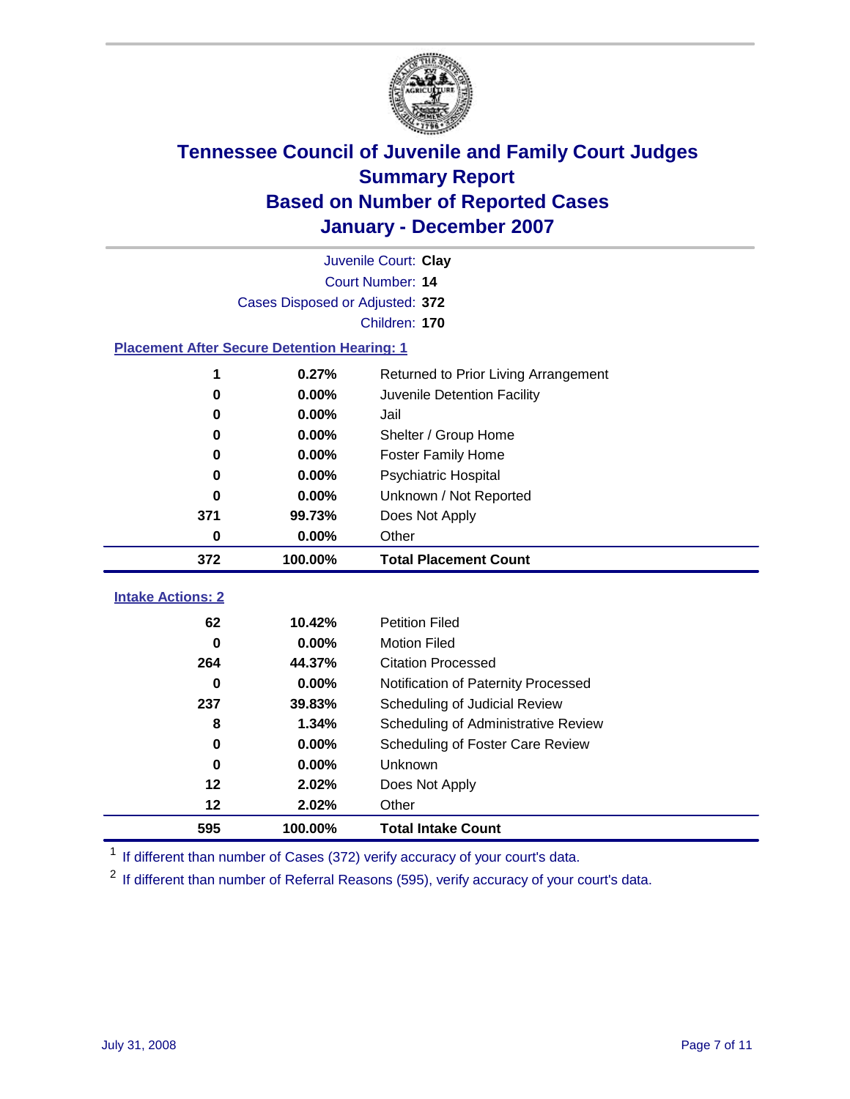

|                                                    | Juvenile Court: Clay            |                                      |  |  |  |
|----------------------------------------------------|---------------------------------|--------------------------------------|--|--|--|
|                                                    | Court Number: 14                |                                      |  |  |  |
|                                                    | Cases Disposed or Adjusted: 372 |                                      |  |  |  |
|                                                    | Children: 170                   |                                      |  |  |  |
| <b>Placement After Secure Detention Hearing: 1</b> |                                 |                                      |  |  |  |
| 1                                                  | 0.27%                           | Returned to Prior Living Arrangement |  |  |  |
| $\bf{0}$                                           | 0.00%                           | Juvenile Detention Facility          |  |  |  |
| 0                                                  | 0.00%                           | Jail                                 |  |  |  |
| 0                                                  | 0.00%                           | Shelter / Group Home                 |  |  |  |
| $\bf{0}$                                           | 0.00%                           | <b>Foster Family Home</b>            |  |  |  |
| $\bf{0}$                                           | 0.00%                           | Psychiatric Hospital                 |  |  |  |
| 0                                                  | 0.00%                           | Unknown / Not Reported               |  |  |  |
| 371                                                | 99.73%                          | Does Not Apply                       |  |  |  |
| $\bf{0}$                                           | 0.00%                           | Other                                |  |  |  |
| 372                                                | 100.00%                         | <b>Total Placement Count</b>         |  |  |  |
| <b>Intake Actions: 2</b>                           |                                 |                                      |  |  |  |
|                                                    |                                 |                                      |  |  |  |
| 62                                                 | 10.42%                          | <b>Petition Filed</b>                |  |  |  |
| $\bf{0}$                                           | 0.00%                           | <b>Motion Filed</b>                  |  |  |  |
| 264                                                | 44.37%                          | <b>Citation Processed</b>            |  |  |  |
| 0                                                  | 0.00%                           | Notification of Paternity Processed  |  |  |  |
| 237                                                | 39.83%                          | Scheduling of Judicial Review        |  |  |  |
| 8                                                  | 1.34%                           | Scheduling of Administrative Review  |  |  |  |
| $\bf{0}$                                           | 0.00%                           | Scheduling of Foster Care Review     |  |  |  |
| $\bf{0}$                                           | 0.00%                           | Unknown                              |  |  |  |
| 12                                                 | 2.02%                           | Does Not Apply                       |  |  |  |
| 12                                                 | 2.02%                           | Other                                |  |  |  |
| 595                                                | 100.00%                         | <b>Total Intake Count</b>            |  |  |  |

<sup>1</sup> If different than number of Cases (372) verify accuracy of your court's data.

<sup>2</sup> If different than number of Referral Reasons (595), verify accuracy of your court's data.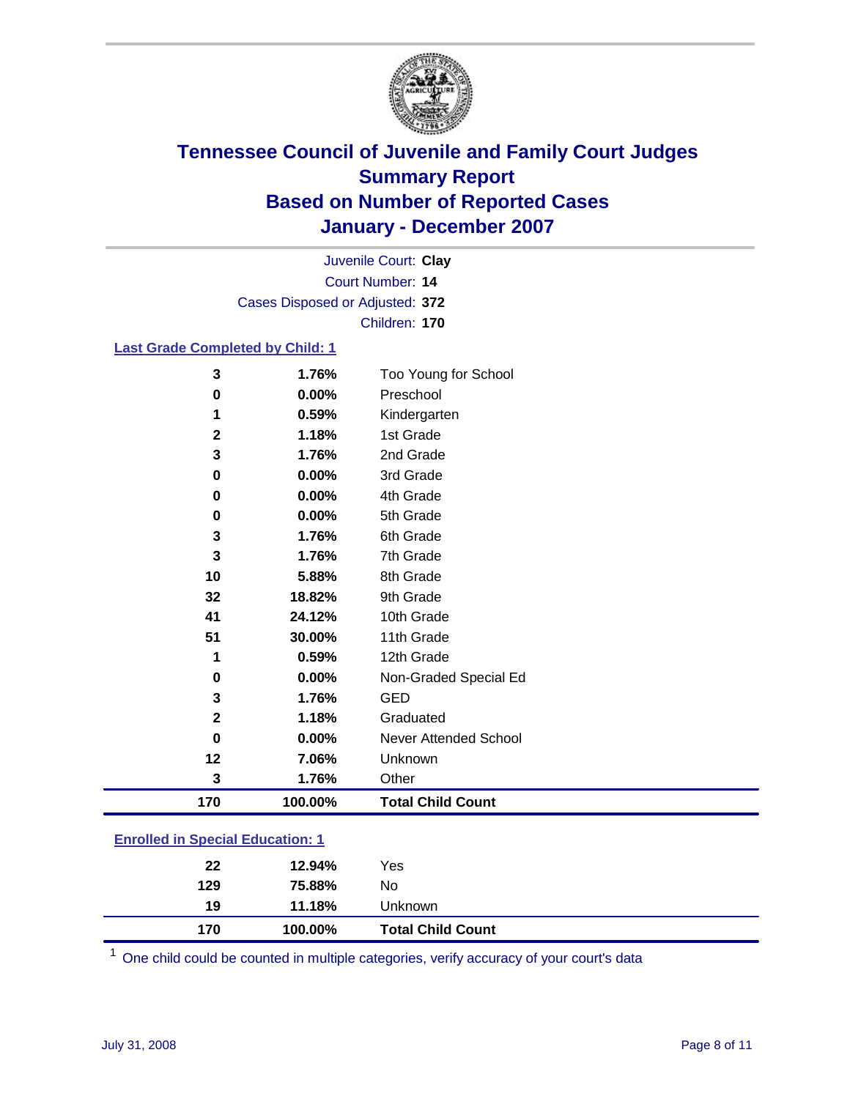

Court Number: **14** Juvenile Court: **Clay** Cases Disposed or Adjusted: **372** Children: **170**

#### **Last Grade Completed by Child: 1**

| 3   | 1.76%   | Too Young for School     |
|-----|---------|--------------------------|
| 0   | 0.00%   | Preschool                |
| 1   | 0.59%   | Kindergarten             |
| 2   | 1.18%   | 1st Grade                |
| 3   | 1.76%   | 2nd Grade                |
| 0   | 0.00%   | 3rd Grade                |
| 0   | 0.00%   | 4th Grade                |
| 0   | 0.00%   | 5th Grade                |
| 3   | 1.76%   | 6th Grade                |
| 3   | 1.76%   | 7th Grade                |
| 10  | 5.88%   | 8th Grade                |
| 32  | 18.82%  | 9th Grade                |
| 41  | 24.12%  | 10th Grade               |
| 51  | 30.00%  | 11th Grade               |
| 1   | 0.59%   | 12th Grade               |
| 0   | 0.00%   | Non-Graded Special Ed    |
| 3   | 1.76%   | <b>GED</b>               |
| 2   | 1.18%   | Graduated                |
| 0   | 0.00%   | Never Attended School    |
| 12  | 7.06%   | Unknown                  |
| 3   | 1.76%   | Other                    |
| 170 | 100.00% | <b>Total Child Count</b> |

### **Enrolled in Special Education: 1**

| 19  | 11.18%  | Unknown                  |
|-----|---------|--------------------------|
| 170 | 100.00% | <b>Total Child Count</b> |

One child could be counted in multiple categories, verify accuracy of your court's data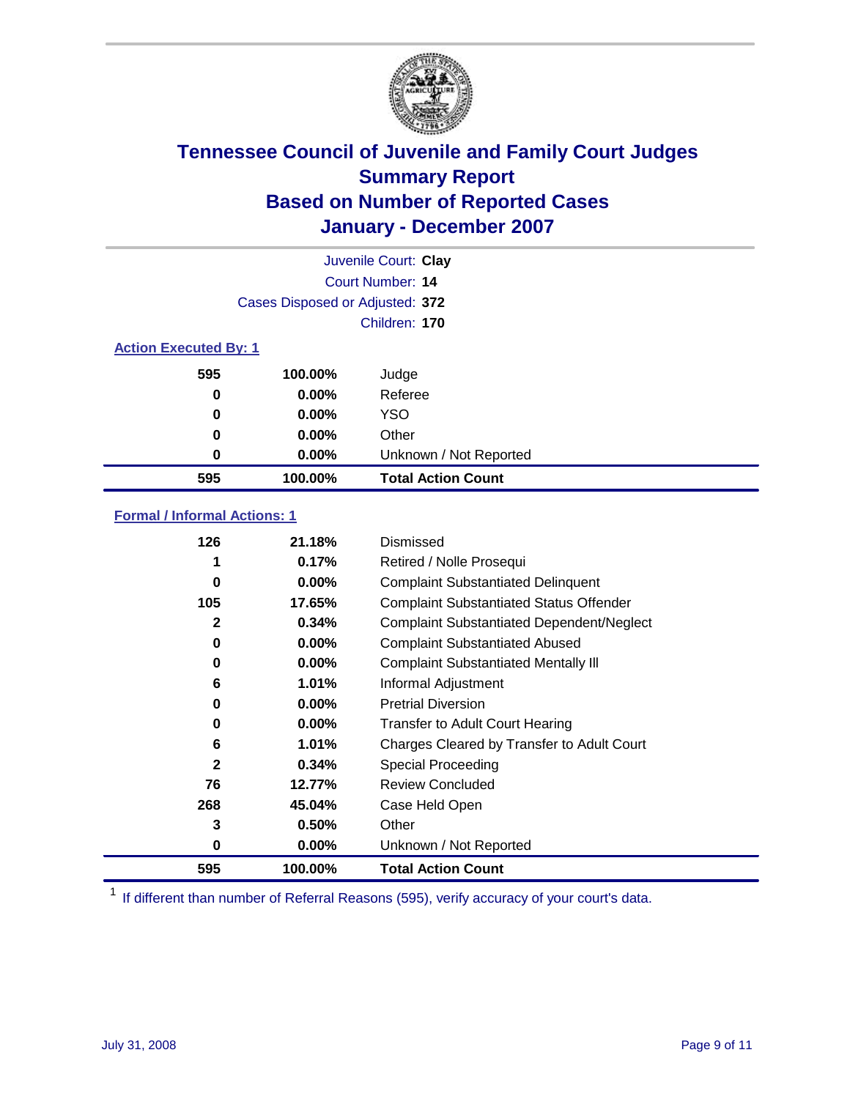

|                              |                                 | Juvenile Court: Clay      |
|------------------------------|---------------------------------|---------------------------|
|                              |                                 | Court Number: 14          |
|                              | Cases Disposed or Adjusted: 372 |                           |
|                              |                                 | Children: 170             |
| <b>Action Executed By: 1</b> |                                 |                           |
| 595                          | 100.00%                         | Judge                     |
| 0                            | $0.00\%$                        | Referee                   |
| 0                            | $0.00\%$                        | <b>YSO</b>                |
| 0                            | 0.00%                           | Other                     |
| 0                            | 0.00%                           | Unknown / Not Reported    |
| 595                          | 100.00%                         | <b>Total Action Count</b> |

### **Formal / Informal Actions: 1**

| 126          | 21.18%   | Dismissed                                        |
|--------------|----------|--------------------------------------------------|
| 1            | 0.17%    | Retired / Nolle Prosequi                         |
| 0            | $0.00\%$ | <b>Complaint Substantiated Delinquent</b>        |
| 105          | 17.65%   | <b>Complaint Substantiated Status Offender</b>   |
| 2            | 0.34%    | <b>Complaint Substantiated Dependent/Neglect</b> |
| 0            | $0.00\%$ | <b>Complaint Substantiated Abused</b>            |
| 0            | $0.00\%$ | <b>Complaint Substantiated Mentally III</b>      |
| 6            | 1.01%    | Informal Adjustment                              |
| 0            | $0.00\%$ | <b>Pretrial Diversion</b>                        |
| 0            | $0.00\%$ | <b>Transfer to Adult Court Hearing</b>           |
| 6            | 1.01%    | Charges Cleared by Transfer to Adult Court       |
| $\mathbf{2}$ | 0.34%    | Special Proceeding                               |
| 76           | 12.77%   | <b>Review Concluded</b>                          |
| 268          | 45.04%   | Case Held Open                                   |
| 3            | 0.50%    | Other                                            |
| 0            | 0.00%    | Unknown / Not Reported                           |
| 595          | 100.00%  | <b>Total Action Count</b>                        |

<sup>1</sup> If different than number of Referral Reasons (595), verify accuracy of your court's data.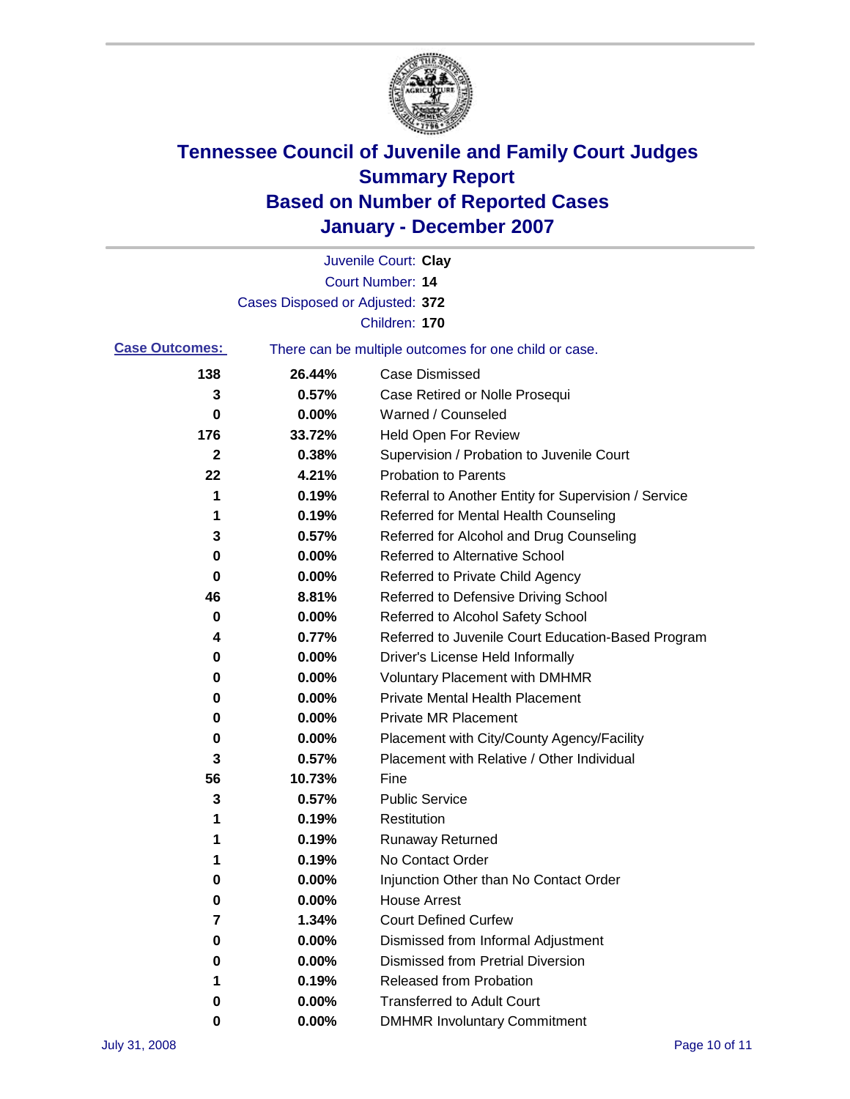

|                       |                                 | Juvenile Court: Clay                                  |
|-----------------------|---------------------------------|-------------------------------------------------------|
|                       |                                 | Court Number: 14                                      |
|                       | Cases Disposed or Adjusted: 372 |                                                       |
|                       |                                 | Children: 170                                         |
| <b>Case Outcomes:</b> |                                 | There can be multiple outcomes for one child or case. |
| 138                   | 26.44%                          | <b>Case Dismissed</b>                                 |
| 3                     | 0.57%                           | Case Retired or Nolle Prosequi                        |
| 0                     | 0.00%                           | Warned / Counseled                                    |
| 176                   | 33.72%                          | Held Open For Review                                  |
| 2                     | 0.38%                           | Supervision / Probation to Juvenile Court             |
| 22                    | 4.21%                           | <b>Probation to Parents</b>                           |
| 1                     | 0.19%                           | Referral to Another Entity for Supervision / Service  |
| 1                     | 0.19%                           | Referred for Mental Health Counseling                 |
| 3                     | 0.57%                           | Referred for Alcohol and Drug Counseling              |
| 0                     | 0.00%                           | Referred to Alternative School                        |
| 0                     | 0.00%                           | Referred to Private Child Agency                      |
| 46                    | 8.81%                           | Referred to Defensive Driving School                  |
| 0                     | 0.00%                           | Referred to Alcohol Safety School                     |
| 4                     | 0.77%                           | Referred to Juvenile Court Education-Based Program    |
| 0                     | 0.00%                           | Driver's License Held Informally                      |
| 0                     | 0.00%                           | <b>Voluntary Placement with DMHMR</b>                 |
| 0                     | 0.00%                           | <b>Private Mental Health Placement</b>                |
| 0                     | 0.00%                           | <b>Private MR Placement</b>                           |
| 0                     | 0.00%                           | Placement with City/County Agency/Facility            |
| 3                     | 0.57%                           | Placement with Relative / Other Individual            |
| 56                    | 10.73%                          | Fine                                                  |
| 3                     | 0.57%                           | <b>Public Service</b>                                 |
| 1                     | 0.19%                           | Restitution                                           |
| 1                     | 0.19%                           | <b>Runaway Returned</b>                               |
| 1                     | 0.19%                           | No Contact Order                                      |
| 0                     | 0.00%                           | Injunction Other than No Contact Order                |
| 0                     | 0.00%                           | <b>House Arrest</b>                                   |
| 7                     | 1.34%                           | <b>Court Defined Curfew</b>                           |
| 0                     | 0.00%                           | Dismissed from Informal Adjustment                    |
| 0                     | 0.00%                           | <b>Dismissed from Pretrial Diversion</b>              |
| 1                     | 0.19%                           | Released from Probation                               |
| 0                     | 0.00%                           | <b>Transferred to Adult Court</b>                     |
| 0                     | 0.00%                           | <b>DMHMR Involuntary Commitment</b>                   |